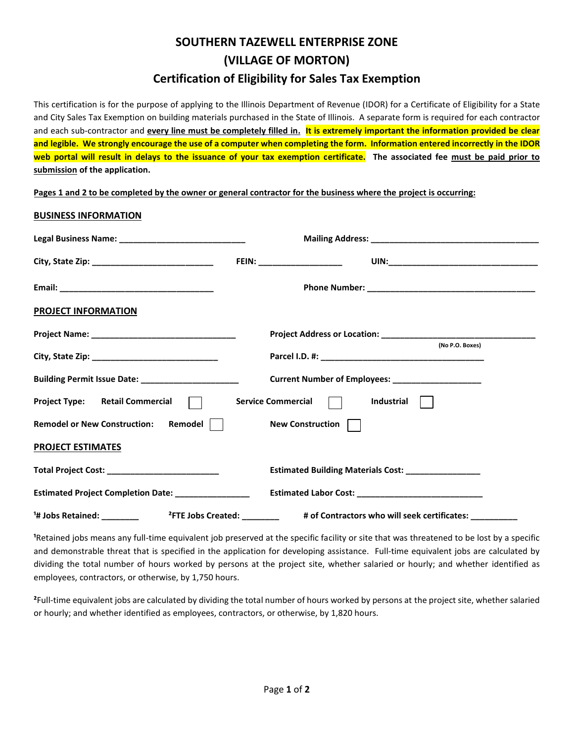## **SOUTHERN TAZEWELL ENTERPRISE ZONE (VILLAGE OF MORTON) Certification of Eligibility for Sales Tax Exemption**

This certification is for the purpose of applying to the Illinois Department of Revenue (IDOR) for a Certificate of Eligibility for a State and City Sales Tax Exemption on building materials purchased in the State of Illinois. A separate form is required for each contractor and each sub-contractor and **every line must be completely filled in. It is extremely important the information provided be clear and legible. We strongly encourage the use of a computer when completing the form. Information entered incorrectly in the IDOR web portal will result in delays to the issuance of your tax exemption certificate. The associated fee must be paid prior to submission of the application.**

**Pages 1 and 2 to be completed by the owner or general contractor for the business where the project is occurring:**

## **BUSINESS INFORMATION**

|                                                                                        | FEIN: ____________________                           |
|----------------------------------------------------------------------------------------|------------------------------------------------------|
|                                                                                        |                                                      |
| <b>PROJECT INFORMATION</b>                                                             |                                                      |
|                                                                                        |                                                      |
|                                                                                        | (No P.O. Boxes)                                      |
| Building Permit Issue Date: ___________________                                        | Current Number of Employees: ____________________    |
| Project Type: Retail Commercial                                                        | Service Commercial    <br>Industrial                 |
| Remodel    <br><b>Remodel or New Construction:</b>                                     | New Construction                                     |
| <b>PROJECT ESTIMATES</b>                                                               |                                                      |
| Total Project Cost: ____________________________                                       | Estimated Building Materials Cost: _________________ |
| Estimated Project Completion Date: ________________                                    |                                                      |
| <sup>1</sup> # Jobs Retained: ____________<br><sup>2</sup> FTE Jobs Created: _________ | # of Contractors who will seek certificates: ___     |

**¹**Retained jobs means any full-time equivalent job preserved at the specific facility or site that was threatened to be lost by a specific and demonstrable threat that is specified in the application for developing assistance. Full-time equivalent jobs are calculated by dividing the total number of hours worked by persons at the project site, whether salaried or hourly; and whether identified as employees, contractors, or otherwise, by 1,750 hours.

**²**Full-time equivalent jobs are calculated by dividing the total number of hours worked by persons at the project site, whether salaried or hourly; and whether identified as employees, contractors, or otherwise, by 1,820 hours.